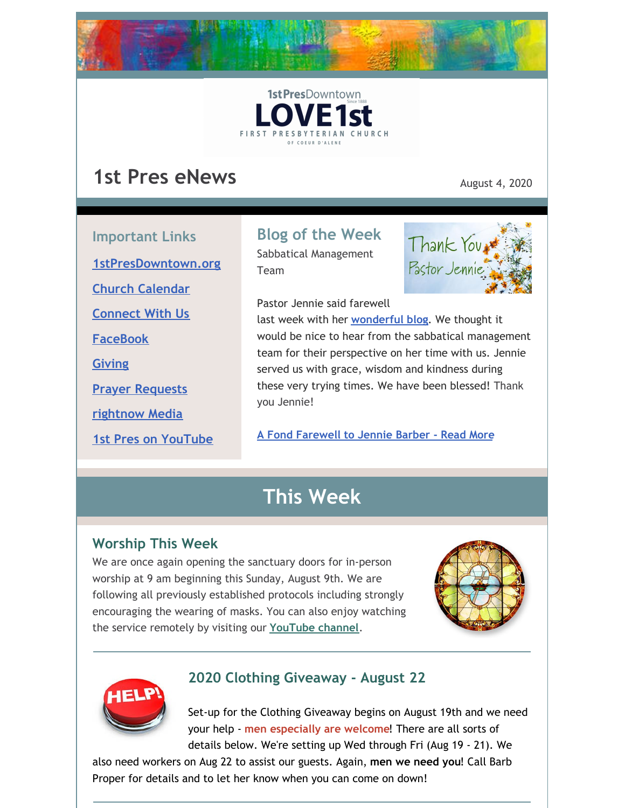



# **1st Pres eNews** August 4, 2020

**Important Links [1stPresDowntown.org](http://www.1stpresdowntown.org/) Church [Calendar](http://www.1stpresdowntown.org/calendar/) [Connect](https://www.1stpresdowntown.org/connect-with-us.html) With Us [FaceBook](https://www.facebook.com/cdadowntownchurch/) [Giving](https://www.eservicepayments.com/cgi-bin/Vanco_ver3.vps?appver3=Fi1giPL8kwX_Oe1AO50jRhFtjI3jPush-TiV_cWeMqos4NSQukCYDzKLUtTTUlsf2EvVVAEjqawDomKT1pbouWbIw4yEvEZZftNOfs1-eIM%3D&ver=3) Prayer [Requests](https://www.1stpresdowntown.org/prayer-request.html) [rightnow](https://accounts.rightnowmedia.org/Account/Invite/FirstPresDowntown?returnUrl=https://www.rightnowmedia.org/Account/Media/InviteReturn) Media**

**1st Pres on [YouTube](https://www.youtube.com/channel/UCCfruZriuZfS2hVar79nXbQ)**

# **Blog of the Week**

Sabbatical Management Team

Pastor Jennie said farewell



last week with her **[wonderful](https://www.1stpresdowntown.org/blog/remembering-and-blessings) blog**. We thought it would be nice to hear from the sabbatical management team for their perspective on her time with us. Jennie served us with grace, wisdom and kindness during these very trying times. We have been blessed! Thank you Jennie!

**A Fond [Farewell](https://www.1stpresdowntown.org/blog/a-fond-farewell-to-jennie-barber-from-the-sabbatical-management-team) to Jennie Barber - Read More**

# **This Week**

## **Worship This Week**

We are once again opening the sanctuary doors for in-person worship at 9 am beginning this Sunday, August 9th. We are following all previously established protocols including strongly encouraging the wearing of masks. You can also enjoy watching the service remotely by visiting our **[YouTube](https://www.youtube.com/channel/UCCfruZriuZfS2hVar79nXbQ) channel**.





## **2020 Clothing Giveaway - August 22**

Set-up for the Clothing Giveaway begins on August 19th and we need your help - **men especially are welcome**! There are all sorts of details below. We're setting up Wed through Fri (Aug 19 - 21). We

also need workers on Aug 22 to assist our guests. Again, **men we need you**! Call Barb Proper for details and to let her know when you can come on down!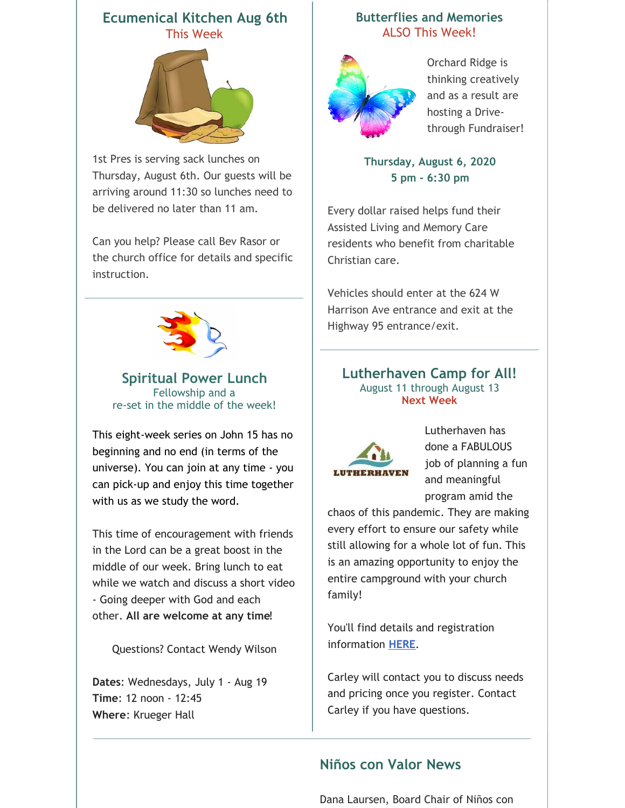### **Ecumenical Kitchen Aug 6th** This Week



1st Pres is serving sack lunches on Thursday, August 6th. Our guests will be arriving around 11:30 so lunches need to be delivered no later than 11 am.

Can you help? Please call Bev Rasor or the church office for details and specific instruction.



**Spiritual Power Lunch** Fellowship and a re-set in the middle of the week!

This eight-week series on John 15 has no beginning and no end (in terms of the universe). You can join at any time - you can pick-up and enjoy this time together with us as we study the word.

This time of encouragement with friends in the Lord can be a great boost in the middle of our week. Bring lunch to eat while we watch and discuss a short video - Going deeper with God and each other. **All are welcome at any time**!

Questions? Contact Wendy Wilson

**Dates**: Wednesdays, July 1 - Aug 19 **Time**: 12 noon - 12:45 **Where**: Krueger Hall

### **Butterflies and Memories** ALSO This Week!



Orchard Ridge is thinking creatively and as a result are hosting a Drivethrough Fundraiser!

**Thursday, August 6, 2020 5 pm - 6:30 pm**

Every dollar raised helps fund their Assisted Living and Memory Care residents who benefit from charitable Christian care.

Vehicles should enter at the 624 W Harrison Ave entrance and exit at the Highway 95 entrance/exit.

### **Lutherhaven Camp for All!** August 11 through August 13 **Next Week**



Lutherhaven has done a FABULOUS job of planning a fun and meaningful program amid the

chaos of this pandemic. They are making every effort to ensure our safety while still allowing for a whole lot of fun. This is an amazing opportunity to enjoy the entire campground with your church family!

You'll find details and registration information **[HERE](https://1stpres.churchcenter.com/registrations/events/466865)**.

Carley will contact you to discuss needs and pricing once you register. Contact Carley if you have questions.

## **Niños con Valor News**

Dana Laursen, Board Chair of Niños con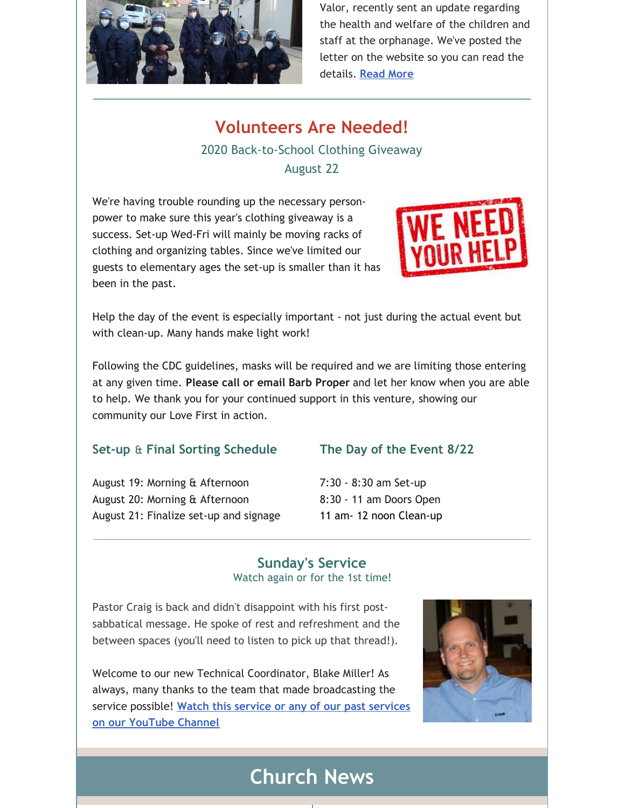

Valor, recently sent an update regarding the health and welfare of the children and staff at the orphanage. We've posted the letter on the website so you can read the details. **[Read](https://www.1stpresdowntown.org/nintildeos-con-valor.html) More**

## **Volunteers Are Needed!**

## 2020 Back-to-School Clothing Giveaway August 22

We're having trouble rounding up the necessary personpower to make sure this year's clothing giveaway is a success. Set-up Wed-Fri will mainly be moving racks of clothing and organizing tables. Since we've limited our guests to elementary ages the set-up is smaller than it has been in the past.



Help the day of the event is especially important - not just during the actual event but with clean-up. Many hands make light work!

Following the CDC guidelines, masks will be required and we are limiting those entering at any given time. **Please call or email Barb Proper** and let her know when you are able to help. We thank you for your continued support in this venture, showing our community our Love First in action.

### **Set-up** & **Final Sorting Schedule**

August 19: Morning & Afternoon August 20: Morning & Afternoon August 21: Finalize set-up and signage

### **The Day of the Event 8/22**

7:30 - 8:30 am Set-up 8:30 - 11 am Doors Open 11 am- 12 noon Clean-up

### **Sunday's Service** Watch again or for the 1st time!

Pastor Craig is back and didn't disappoint with his first postsabbatical message. He spoke of rest and refreshment and the between spaces (you'll need to listen to pick up that thread!).

Welcome to our new Technical Coordinator, Blake Miller! As always, many thanks to the team that made broadcasting the service possible! **Watch this service or any of our past services on our [YouTube](http://r20.rs6.net/tn.jsp?f=001TAEhPUeQXKS9PqOcukkRsNWUgGUBHZ7_nsdteClYMruoiLz1t14TsRr7UTt-UexyP7z8jFaaIPKIpT969G_ZUIkYi5mYoaY3H9bWFO_7npHXgu-wj68OzdnwykJslgohuottq9rPNR3w65MF7RkVXiqP9csz0dJjjE9juxHUxnD7AALW2Znqj4jNvmwW1hgb&c=xj6uxv4Ure-jLmebrsiWHqZgofQxk1jiFOFxtq_GIS985IIRxfa2wg==&ch=yLb4idgMcf26VkL_Lc86HYFK_5hMVavweuM2KPPMNNX6Iob9yt8sLA==) Channel**



## **Church News**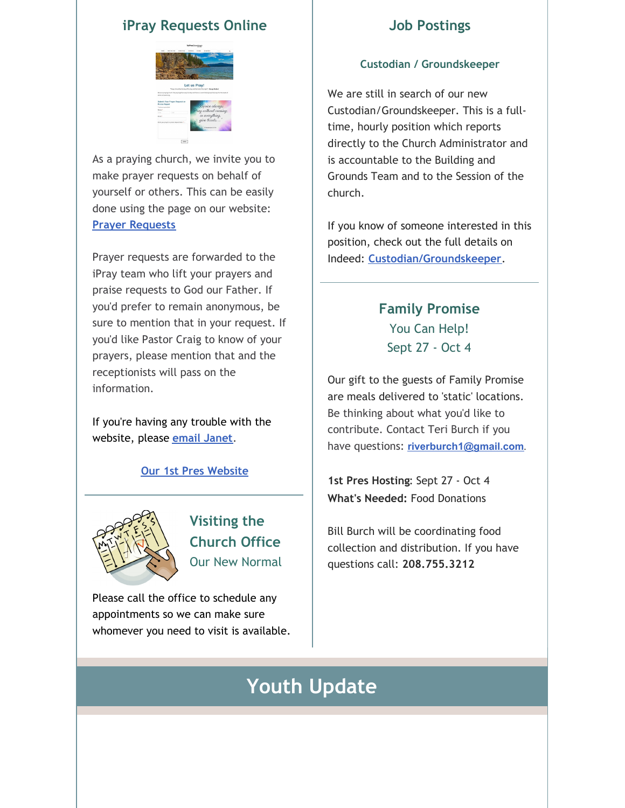### **iPray Requests Online**



As a praying church, we invite you to make prayer requests on behalf of yourself or others. This can be easily done using the page on our website: **Prayer [Requests](https://www.1stpresdowntown.org/prayer-request.html)**

Prayer requests are forwarded to the iPray team who lift your prayers and praise requests to God our Father. If you'd prefer to remain anonymous, be sure to mention that in your request. If you'd like Pastor Craig to know of your prayers, please mention that and the receptionists will pass on the information.

If you're having any trouble with the website, please **email [Janet](mailto:janet@1stpresdowntown.org)**.

### **Our 1st Pres [Website](http://www.1stpresdowntown.org/)**



**Visiting the Church Office** Our New Normal

Please call the office to schedule any appointments so we can make sure whomever you need to visit is available.

### **Job Postings**

### **Custodian / Groundskeeper**

We are still in search of our new Custodian/Groundskeeper. This is a fulltime, hourly position which reports directly to the Church Administrator and is accountable to the Building and Grounds Team and to the Session of the church.

If you know of someone interested in this position, check out the full details on Indeed: **[Custodian/Groundskeeper](https://www.indeed.com/job/custodiangroundskeeper-1713db722b958251)**.

## **Family Promise** You Can Help! Sept 27 - Oct 4

Our gift to the guests of Family Promise are meals delivered to 'static' locations. Be thinking about what you'd like to contribute. Contact Teri Burch if you have questions: **[riverburch1@gmail.com](mailto:riverburch1@gmail.com)**.

**1st Pres Hosting**: Sept 27 - Oct 4 **What's Needed:** Food Donations

Bill Burch will be coordinating food collection and distribution. If you have questions call: **208.755.3212**

# **Youth Update**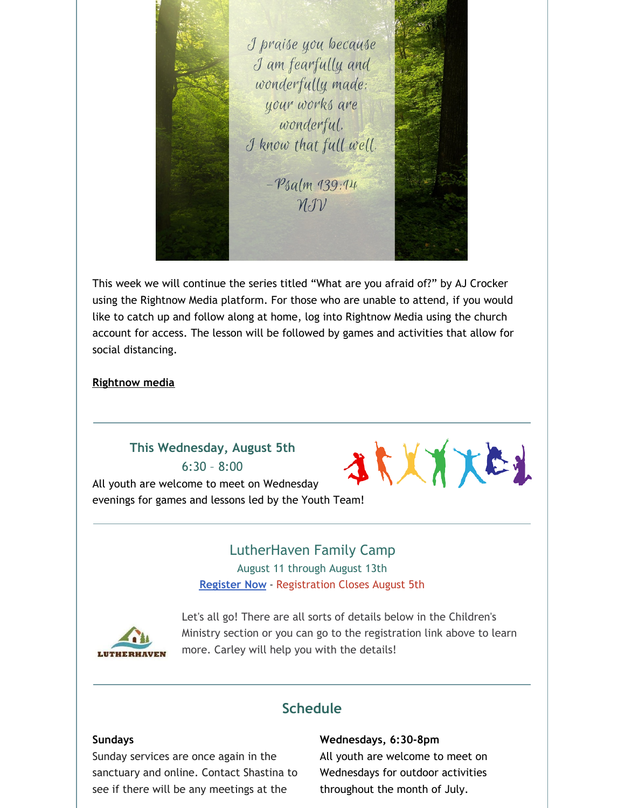I praise you because I am fearfully and wonderfully made: your works are wonderful. I know that full well.  $-P_{4}$ alm 139:14  $\mathcal{U}(\mathcal{V})$ 

This week we will continue the series titled "What are you afraid of?" by AJ Crocker using the Rightnow Media platform. For those who are unable to attend, if you would like to catch up and follow along at home, log into Rightnow Media using the church account for access. The lesson will be followed by games and activities that allow for social distancing.

### **[Rightnow](https://accounts.rightnowmedia.org/Account/Invite/FirstPresDowntown?returnUrl=https://www.rightnowmedia.org/Account/Media/InviteReturn) media**

### **This Wednesday, August 5th** 6:30 – 8:00

1 XXXXE1 All youth are welcome to meet on Wednesday evenings for games and lessons led by the Youth Team!

# LutherHaven Family Camp

August 11 through August 13th **[Register](https://1stpres.churchcenter.com/registrations/events/466865) Now** - Registration Closes August 5th



Let's all go! There are all sorts of details below in the Children's Ministry section or you can go to the registration link above to learn more. Carley will help you with the details!

### **Schedule**

### **Sundays**

Sunday services are once again in the sanctuary and online. Contact Shastina to see if there will be any meetings at the

#### **Wednesdays, 6:30-8pm**

All youth are welcome to meet on Wednesdays for outdoor activities throughout the month of July.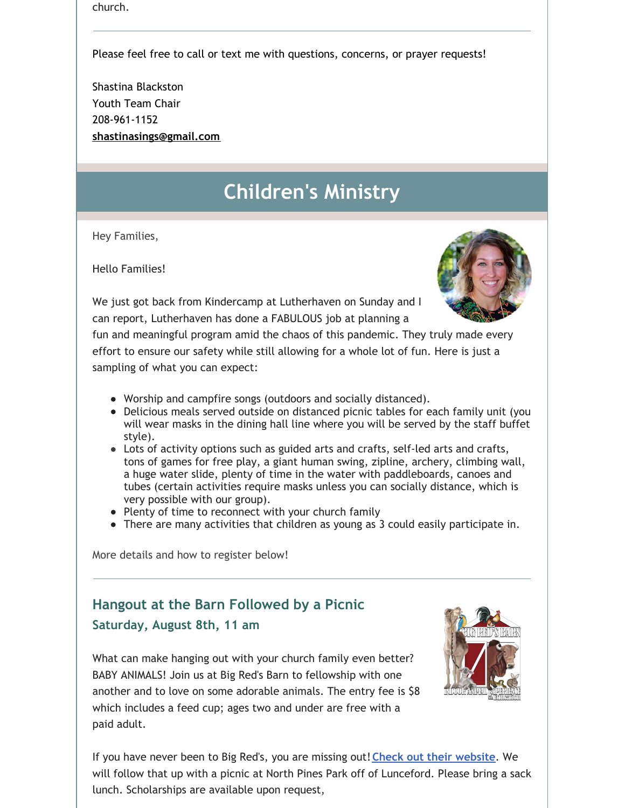church.

Please feel free to call or text me with questions, concerns, or prayer requests!

Shastina Blackston Youth Team Chair 208-961-1152 **[shastinasings@gmail.com](mailto:shastinasings@gmail.com)**

# **Children's Ministry**

Hey Families,

Hello Families!

We just got back from Kindercamp at Lutherhaven on Sunday and I can report, Lutherhaven has done a FABULOUS job at planning a

fun and meaningful program amid the chaos of this pandemic. They truly made every effort to ensure our safety while still allowing for a whole lot of fun. Here is just a sampling of what you can expect:

- Worship and campfire songs (outdoors and socially distanced).
- Delicious meals served outside on distanced picnic tables for each family unit (you will wear masks in the dining hall line where you will be served by the staff buffet style).
- Lots of activity options such as guided arts and crafts, self-led arts and crafts, tons of games for free play, a giant human swing, zipline, archery, climbing wall, a huge water slide, plenty of time in the water with paddleboards, canoes and tubes (certain activities require masks unless you can socially distance, which is very possible with our group).
- Plenty of time to reconnect with your church family
- There are many activities that children as young as 3 could easily participate in.

More details and how to register below!

## **Hangout at the Barn Followed by a Picnic Saturday, August 8th, 11 am**

What can make hanging out with your church family even better? BABY ANIMALS! Join us at Big Red's Barn to fellowship with one another and to love on some adorable animals. The entry fee is \$8 which includes a feed cup; ages two and under are free with a paid adult.



If you have never been to Big Red's, you are missing out!**Check out their [website](https://bigredsbarn.com/)**. We will follow that up with a picnic at North Pines Park off of Lunceford. Please bring a sack lunch. Scholarships are available upon request,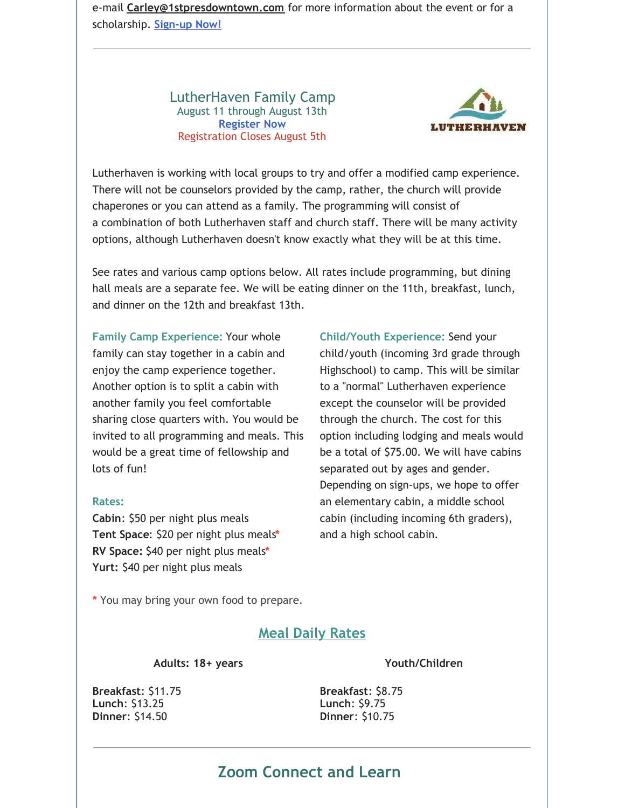e-mail **[Carley@1stpresdowntown.com](mailto:Carley@1stpresdowntown.com)** for more information about the event or for a scholarship. **[Sign-up](https://1stpres.churchcenter.com/registrations/events/478777) Now!**

> LutherHaven Family Camp August 11 through August 13th **[Register](https://1stpres.churchcenter.com/registrations/events/466865) Now** Registration Closes August 5th



Lutherhaven is working with local groups to try and offer a modified camp experience. There will not be counselors provided by the camp, rather, the church will provide chaperones or you can attend as a family. The programming will consist of a combination of both Lutherhaven staff and church staff. There will be many activity options, although Lutherhaven doesn't know exactly what they will be at this time.

See rates and various camp options below. All rates include programming, but dining hall meals are a separate fee. We will be eating dinner on the 11th, breakfast, lunch, and dinner on the 12th and breakfast 13th.

**Family Camp Experience:** Your whole family can stay together in a cabin and enjoy the camp experience together. Another option is to split a cabin with another family you feel comfortable sharing close quarters with. You would be invited to all programming and meals. This would be a great time of fellowship and lots of fun!

### **Rates:**

**Cabin**: \$50 per night plus meals **Tent Space**: \$20 per night plus meals**\* RV Space:** \$40 per night plus meals**\* Yurt:** \$40 per night plus meals

**Child/Youth Experience:** Send your child/youth (incoming 3rd grade through Highschool) to camp. This will be similar to a "normal" Lutherhaven experience except the counselor will be provided through the church. The cost for this option including lodging and meals would be a total of \$75.00. We will have cabins separated out by ages and gender. Depending on sign-ups, we hope to offer an elementary cabin, a middle school cabin (including incoming 6th graders), and a high school cabin.

**\*** You may bring your own food to prepare.

### **Meal Daily Rates**

**Adults: 18+ years**

### **Youth/Children**

**Breakfast**: \$11.75 **Lunch**: \$13.25 **Dinner**: \$14.50

**Breakfast**: \$8.75 **Lunch**: \$9.75 **Dinner**: \$10.75

## **Zoom Connect and Learn**